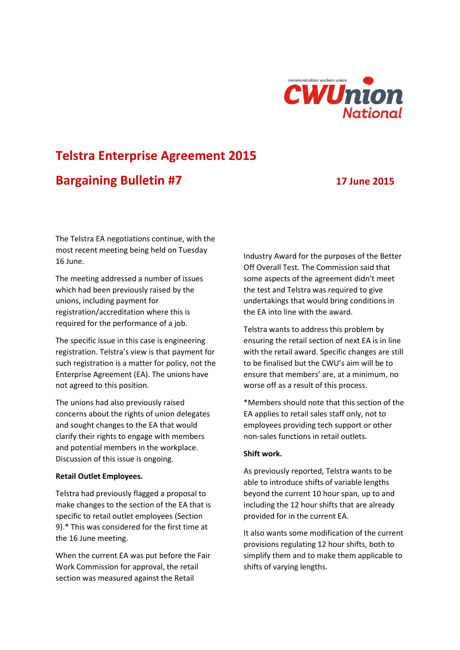

# **Telstra Enterprise Agreement 2015 Bargaining Bulletin #7 17 June 2015**

The Telstra EA negotiations continue, with the most recent meeting being held on Tuesday 16 June.

The meeting addressed a number of issues which had been previously raised by the unions, including payment for registration/accreditation where this is required for the performance of a job.

The specific issue in this case is engineering registration. Telstra's view is that payment for such registration is a matter for policy, not the Enterprise Agreement (EA). The unions have not agreed to this position.

The unions had also previously raised concerns about the rights of union delegates and sought changes to the EA that would clarify their rights to engage with members and potential members in the workplace. Discussion of this issue is ongoing.

### **Retail Outlet Employees.**

Telstra had previously flagged a proposal to make changes to the section of the EA that is specific to retail outlet employees (Section 9).\* This was considered for the first time at the 16 June meeting.

When the current EA was put before the Fair Work Commission for approval, the retail section was measured against the Retail

Industry Award for the purposes of the Better Off Overall Test. The Commission said that some aspects of the agreement didn't meet the test and Telstra was required to give undertakings that would bring conditions in the EA into line with the award.

Telstra wants to address this problem by ensuring the retail section of next EA is in line with the retail award. Specific changes are still to be finalised but the CWU's aim will be to ensure that members' are, at a minimum, no worse off as a result of this process.

\*Members should note that this section of the EA applies to retail sales staff only, not to employees providing tech support or other non-sales functions in retail outlets.

# **Shift work.**

As previously reported, Telstra wants to be able to introduce shifts of variable lengths beyond the current 10 hour span, up to and including the 12 hour shifts that are already provided for in the current EA.

It also wants some modification of the current provisions regulating 12 hour shifts, both to simplify them and to make them applicable to shifts of varying lengths.